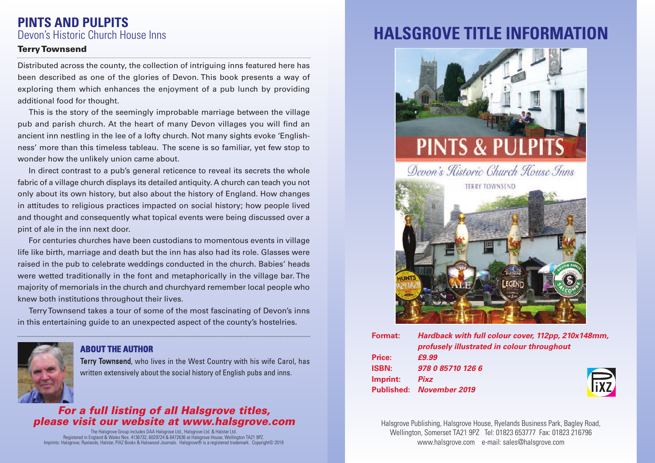## **PINTS AND PULPITS** Devon's Historic Church House Inns

#### **TerryTownsend**

Distributed across the county, the collection of intriguing inns featured here has been described as one of the glories of Devon. This book presents a way of exploring them which enhances the enjoyment of a pub lunch by providing additional food for thought.

This is the story of the seemingly improbable marriage between the village pub and parish church. At the heart of many Devon villages you will find an ancient inn nestling in the lee of a lofty church. Not many sights evoke 'Englishness' more than this timeless tableau. The scene is so familiar, yet few stop to wonder how the unlikely union came about.

In direct contrast to a pub's general reticence to reveal its secrets the whole fabric of a village church displays its detailed antiquity. A church can teach you not only about its own history, but also about the history of England. How changes in attitudes to religious practices impacted on social history; how people lived and thought and consequently what topical events were being discussed over a pint of ale in the inn next door.

For centuries churches have been custodians to momentous events in village life like birth, marriage and death but the inn has also had its role. Glasses were raised in the pub to celebrate weddings conducted in the church. Babies' heads were wetted traditionally in the font and metaphorically in the village bar. The majority of memorials in the church and churchyard remember local people who knew both institutions throughout their lives.

TerryTownsend takes a tour of some of the most fascinating of Devon's inns in this entertaining guide to an unexpected aspect of the county's hostelries.



### **ABOUT THE AUTHOR**

Terry Townsend, who lives in the West Country with his wife Carol, has written extensively about the social history of English pubs and inns.

### *For a full listing of all Halsgrove titles, please visit our website at www.halsgrove.com*

The Halsgrove Group includes DAA Halsgrove Ltd., Halsgrove Ltd. & Halstar Ltd.<br>.Registered in England & Wales Nos. 4 136732, 6029724 & 6472636 at Halsgrove House, Wellington TA21 9PZ<br>Imprints: Halsgrove, Ryelands, Halstar

# **HALSGROVE TITLE INFORMATION**





| Format:      | Hardback with full colour cover, 112pp, 210x148mm,<br>profusely illustrated in colour throughout |            |
|--------------|--------------------------------------------------------------------------------------------------|------------|
| Price:       | £9.99                                                                                            |            |
| <b>ISBN:</b> | 978 0 85710 126 6                                                                                |            |
| Imprint:     | <b>Pixz</b>                                                                                      | <b>Fix</b> |
|              | <b>Published:</b> November 2019                                                                  |            |
|              |                                                                                                  |            |

Halsgrove Publishing, Halsgrove House, Ryelands Business Park, Bagley Road, Wellington, Somerset TA21 9PZ Tel: 01823 653777 Fax: 01823 216796 www.halsgrove.com e-mail: sales@halsgrove.com